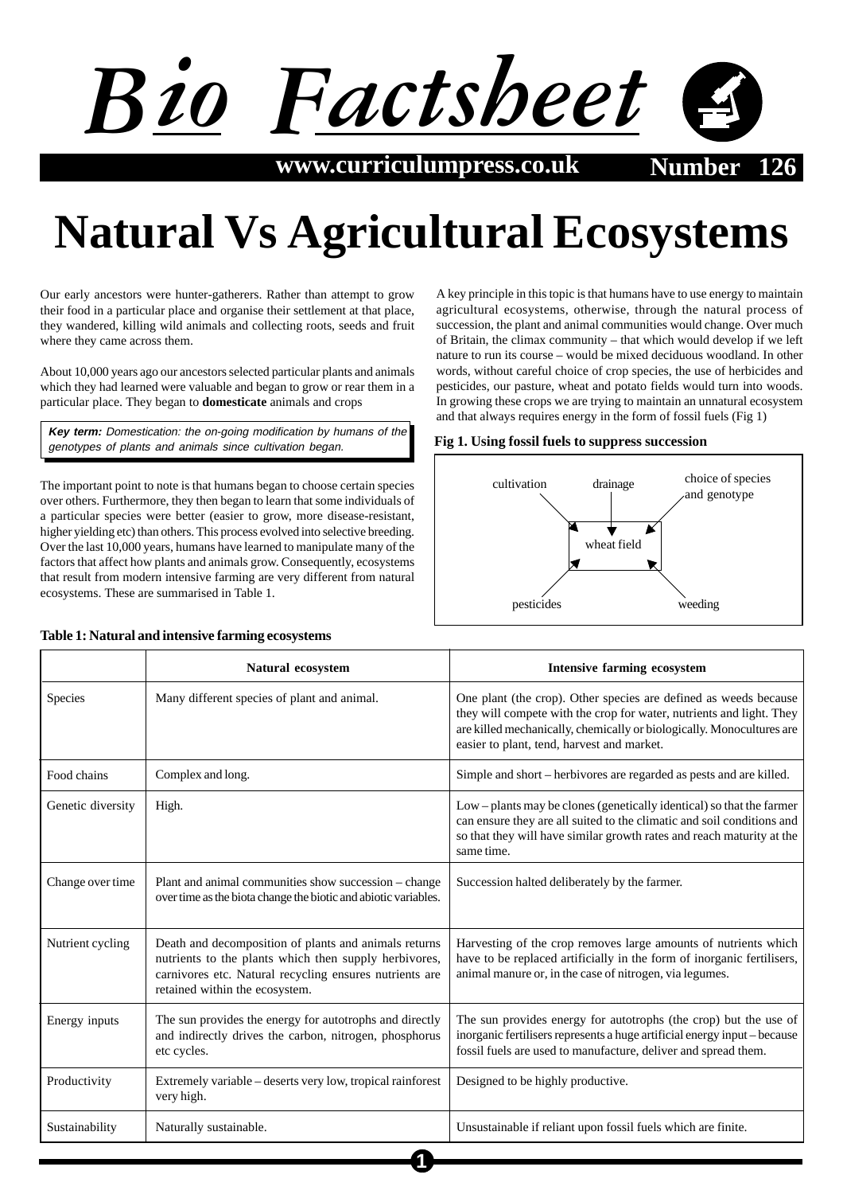

**www.curriculumpress.co.uk Number** 

# **Natural Vs Agricultural Ecosystems**

Our early ancestors were hunter-gatherers. Rather than attempt to grow their food in a particular place and organise their settlement at that place, they wandered, killing wild animals and collecting roots, seeds and fruit where they came across them.

About 10,000 years ago our ancestors selected particular plants and animals which they had learned were valuable and began to grow or rear them in a particular place. They began to **domesticate** animals and crops

**Key term:** Domestication: the on-going modification by humans of the genotypes of plants and animals since cultivation began.

The important point to note is that humans began to choose certain species over others. Furthermore, they then began to learn that some individuals of a particular species were better (easier to grow, more disease-resistant, higher yielding etc) than others. This process evolved into selective breeding. Over the last 10,000 years, humans have learned to manipulate many of the factors that affect how plants and animals grow. Consequently, ecosystems that result from modern intensive farming are very different from natural ecosystems. These are summarised in Table 1.

**Table 1: Natural and intensive farming ecosystems**

A key principle in this topic is that humans have to use energy to maintain agricultural ecosystems, otherwise, through the natural process of succession, the plant and animal communities would change. Over much of Britain, the climax community – that which would develop if we left nature to run its course – would be mixed deciduous woodland. In other words, without careful choice of crop species, the use of herbicides and pesticides, our pasture, wheat and potato fields would turn into woods. In growing these crops we are trying to maintain an unnatural ecosystem and that always requires energy in the form of fossil fuels (Fig 1)

#### **Fig 1. Using fossil fuels to suppress succession**



|                   | Natural ecosystem                                                                                                                                                                                           | <b>Intensive farming ecosystem</b>                                                                                                                                                                                                                              |
|-------------------|-------------------------------------------------------------------------------------------------------------------------------------------------------------------------------------------------------------|-----------------------------------------------------------------------------------------------------------------------------------------------------------------------------------------------------------------------------------------------------------------|
| Species           | Many different species of plant and animal.                                                                                                                                                                 | One plant (the crop). Other species are defined as weeds because<br>they will compete with the crop for water, nutrients and light. They<br>are killed mechanically, chemically or biologically. Monocultures are<br>easier to plant, tend, harvest and market. |
| Food chains       | Complex and long.                                                                                                                                                                                           | Simple and short – herbivores are regarded as pests and are killed.                                                                                                                                                                                             |
| Genetic diversity | High.                                                                                                                                                                                                       | Low – plants may be clones (genetically identical) so that the farmer<br>can ensure they are all suited to the climatic and soil conditions and<br>so that they will have similar growth rates and reach maturity at the<br>same time.                          |
| Change over time  | Plant and animal communities show succession – change<br>over time as the biota change the biotic and abiotic variables.                                                                                    | Succession halted deliberately by the farmer.                                                                                                                                                                                                                   |
| Nutrient cycling  | Death and decomposition of plants and animals returns<br>nutrients to the plants which then supply herbivores,<br>carnivores etc. Natural recycling ensures nutrients are<br>retained within the ecosystem. | Harvesting of the crop removes large amounts of nutrients which<br>have to be replaced artificially in the form of inorganic fertilisers,<br>animal manure or, in the case of nitrogen, via legumes.                                                            |
| Energy inputs     | The sun provides the energy for autotrophs and directly<br>and indirectly drives the carbon, nitrogen, phosphorus<br>etc cycles.                                                                            | The sun provides energy for autotrophs (the crop) but the use of<br>inorganic fertilisers represents a huge artificial energy input - because<br>fossil fuels are used to manufacture, deliver and spread them.                                                 |
| Productivity      | Extremely variable - deserts very low, tropical rainforest<br>very high.                                                                                                                                    | Designed to be highly productive.                                                                                                                                                                                                                               |
| Sustainability    | Naturally sustainable.                                                                                                                                                                                      | Unsustainable if reliant upon fossil fuels which are finite.                                                                                                                                                                                                    |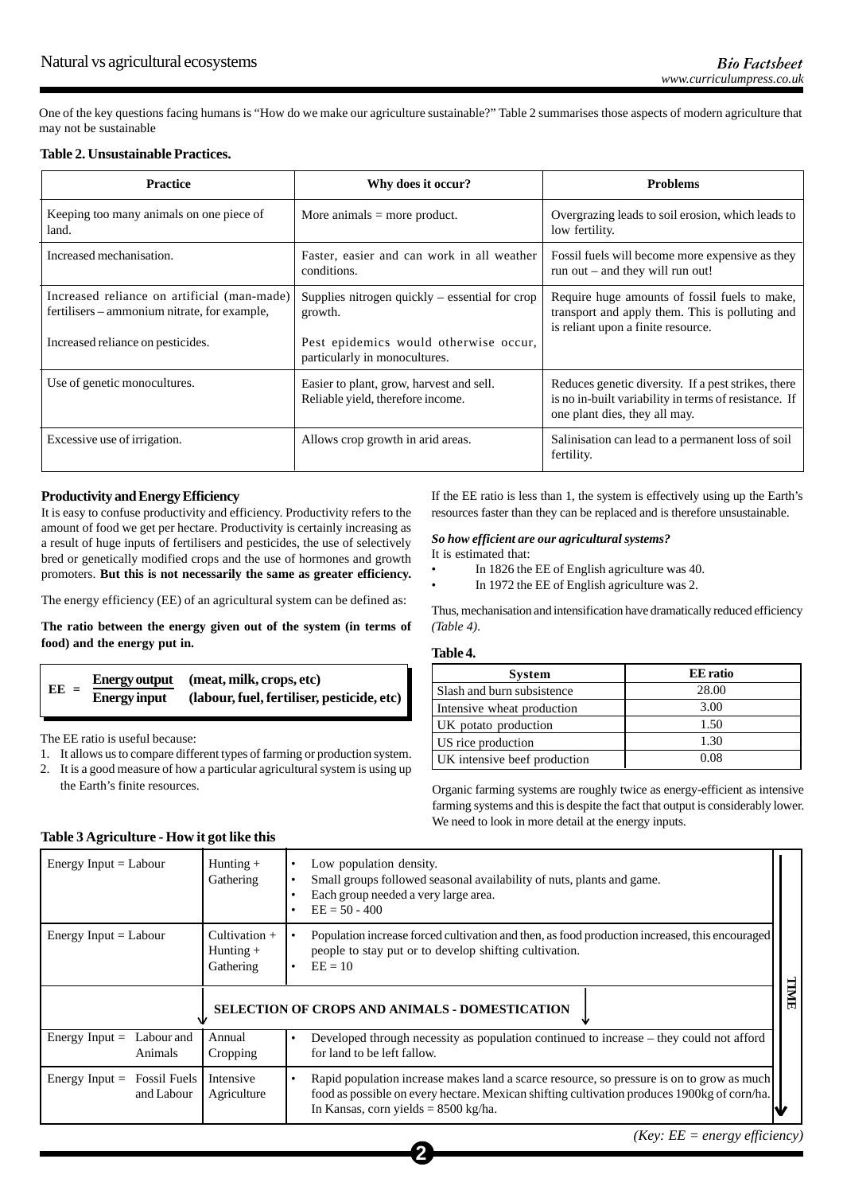One of the key questions facing humans is "How do we make our agriculture sustainable?" Table 2 summarises those aspects of modern agriculture that may not be sustainable

#### **Table 2. Unsustainable Practices.**

| <b>Practice</b>                                                                                                                  | Why does it occur?                                                                                                                    | <b>Problems</b>                                                                                                                               |
|----------------------------------------------------------------------------------------------------------------------------------|---------------------------------------------------------------------------------------------------------------------------------------|-----------------------------------------------------------------------------------------------------------------------------------------------|
| Keeping too many animals on one piece of<br>land.                                                                                | More animals $=$ more product.                                                                                                        | Overgrazing leads to soil erosion, which leads to<br>low fertility.                                                                           |
| Increased mechanisation.                                                                                                         | Faster, easier and can work in all weather<br>conditions.                                                                             | Fossil fuels will become more expensive as they<br>run out $-$ and they will run out!                                                         |
| Increased reliance on artificial (man-made)<br>fertilisers – ammonium nitrate, for example,<br>Increased reliance on pesticides. | Supplies nitrogen quickly $-$ essential for crop<br>growth.<br>Pest epidemics would otherwise occur,<br>particularly in monocultures. | Require huge amounts of fossil fuels to make,<br>transport and apply them. This is polluting and<br>is reliant upon a finite resource.        |
| Use of genetic monocultures.                                                                                                     | Easier to plant, grow, harvest and sell.<br>Reliable yield, therefore income.                                                         | Reduces genetic diversity. If a pest strikes, there<br>is no in-built variability in terms of resistance. If<br>one plant dies, they all may. |
| Excessive use of irrigation.                                                                                                     | Allows crop growth in arid areas.                                                                                                     | Salinisation can lead to a permanent loss of soil<br>fertility.                                                                               |

#### **Productivity and Energy Efficiency**

It is easy to confuse productivity and efficiency. Productivity refers to the amount of food we get per hectare. Productivity is certainly increasing as a result of huge inputs of fertilisers and pesticides, the use of selectively bred or genetically modified crops and the use of hormones and growth promoters. **But this is not necessarily the same as greater efficiency.**

The energy efficiency (EE) of an agricultural system can be defined as:

**The ratio between the energy given out of the system (in terms of food) and the energy put in.**

$$
E E = \frac{Energy output}{Energy input} \quad (meat, milk, crops, etc)
$$
\n(labor, fuel, fertiliser, pesticide, etc)

The EE ratio is useful because:

- 1. It allows us to compare different types of farming or production system.
- 2. It is a good measure of how a particular agricultural system is using up the Earth's finite resources.

If the EE ratio is less than 1, the system is effectively using up the Earth's resources faster than they can be replaced and is therefore unsustainable.

# *So how efficient are our agricultural systems?*

It is estimated that:

- In 1826 the EE of English agriculture was 40.
- In 1972 the EE of English agriculture was 2.

Thus, mechanisation and intensification have dramatically reduced efficiency *(Table 4)*.

#### **Table 4.**

| <b>System</b>                | <b>EE</b> ratio |
|------------------------------|-----------------|
| Slash and burn subsistence   | 28.00           |
| Intensive wheat production   | 3.00            |
| UK potato production         | 1.50            |
| US rice production           | 1.30            |
| UK intensive beef production | 0.08            |

Organic farming systems are roughly twice as energy-efficient as intensive farming systems and this is despite the fact that output is considerably lower. We need to look in more detail at the energy inputs.

| Energy Input $=$ Labour                                 | Hunting $+$<br>Gathering                    | Low population density.<br>Small groups followed seasonal availability of nuts, plants and game.<br>Each group needed a very large area.<br>$EE = 50 - 400$                                                                                 |  |  |
|---------------------------------------------------------|---------------------------------------------|---------------------------------------------------------------------------------------------------------------------------------------------------------------------------------------------------------------------------------------------|--|--|
| Energy Input $=$ Labour                                 | Cultivation $+$<br>Hunting $+$<br>Gathering | Population increase forced cultivation and then, as food production increased, this encouraged<br>people to stay put or to develop shifting cultivation.<br>$EE = 10$                                                                       |  |  |
| TIMIT<br>SELECTION OF CROPS AND ANIMALS - DOMESTICATION |                                             |                                                                                                                                                                                                                                             |  |  |
| Energy Input $=$<br>Labour and<br>Animals               | Annual<br>Cropping                          | Developed through necessity as population continued to increase – they could not afford<br>for land to be left fallow.                                                                                                                      |  |  |
| <b>Fossil Fuels</b><br>Energy Input $=$<br>and Labour   | Intensive<br>Agriculture                    | Rapid population increase makes land a scarce resource, so pressure is on to grow as much<br>food as possible on every hectare. Mexican shifting cultivation produces 1900kg of corn/ha.<br>In Kansas, corn yields $= 8500 \text{ kg/ha}$ . |  |  |

# **Table 3 Agriculture - How it got like this**

*(Key: EE = energy efficiency)*